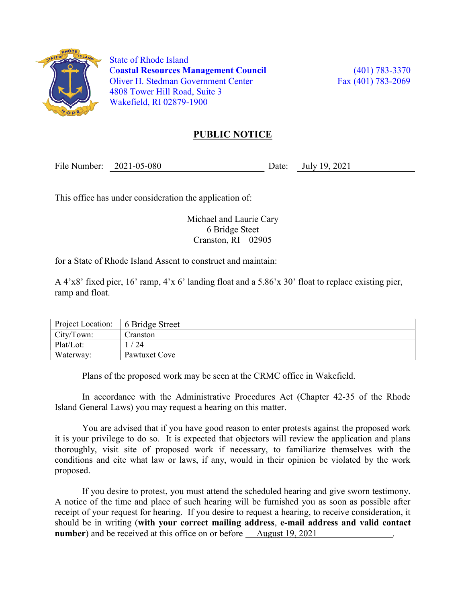

 State of Rhode Island Coastal Resources Management Council (401) 783-3370 Oliver H. Stedman Government Center Fax (401) 783-2069 4808 Tower Hill Road, Suite 3 Wakefield, RI 02879-1900

## PUBLIC NOTICE

File Number: 2021-05-080 Date: July 19, 2021

This office has under consideration the application of:

Michael and Laurie Cary 6 Bridge Steet Cranston, RI 02905

for a State of Rhode Island Assent to construct and maintain:

A 4'x8' fixed pier, 16' ramp, 4'x 6' landing float and a 5.86'x 30' float to replace existing pier, ramp and float.

| Project Location: | 6 Bridge Street |
|-------------------|-----------------|
| City/Town:        | Cranston        |
| Plat/Lot:         | 24              |
| Waterway:         | Pawtuxet Cove   |

Plans of the proposed work may be seen at the CRMC office in Wakefield.

In accordance with the Administrative Procedures Act (Chapter 42-35 of the Rhode Island General Laws) you may request a hearing on this matter.

You are advised that if you have good reason to enter protests against the proposed work it is your privilege to do so. It is expected that objectors will review the application and plans thoroughly, visit site of proposed work if necessary, to familiarize themselves with the conditions and cite what law or laws, if any, would in their opinion be violated by the work proposed.

If you desire to protest, you must attend the scheduled hearing and give sworn testimony. A notice of the time and place of such hearing will be furnished you as soon as possible after receipt of your request for hearing. If you desire to request a hearing, to receive consideration, it should be in writing (with your correct mailing address, e-mail address and valid contact number) and be received at this office on or before August 19, 2021